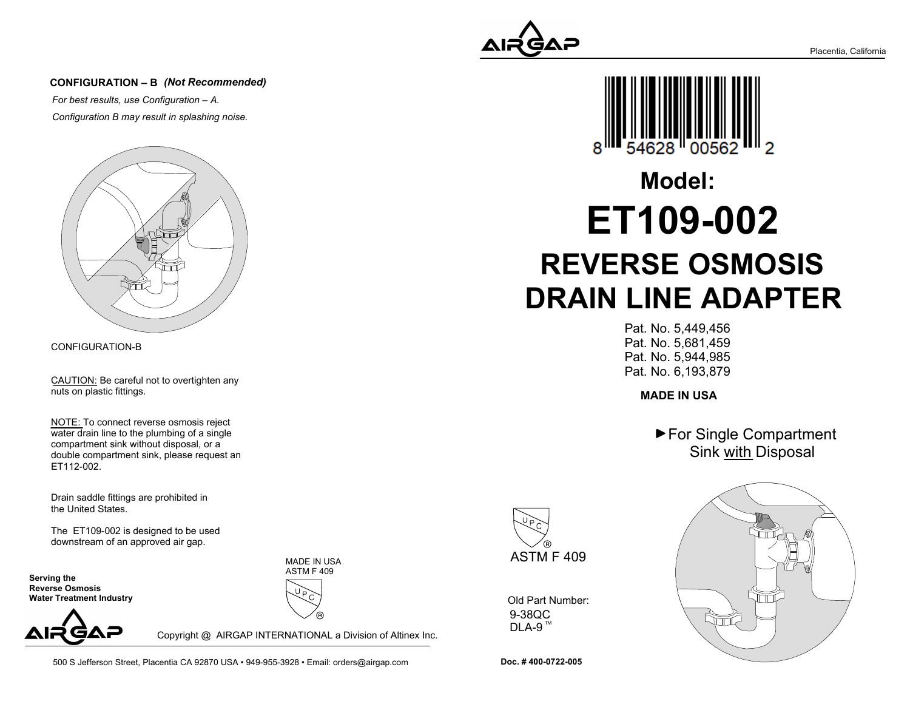

#### **CONFIGURATION – B** *(Not Recommended)*

*For best results, use Configuration – A.Configuration B may result in splashing noise.*



CONFIGURATION-B

CAUTION: Be careful not to overtighten anynuts on plastic fittings.

NOTE: To connect reverse osmosis reject water drain line to the plumbing of a singlecompartment sink without disposal, or a double compartment sink, please request anET112-002.

Drain saddle fittings are prohibited inthe United States.

The ET109-002 is designed to be useddownstream of an approved air gap.

**Serving the Reverse Osmosis Water Treatment Industry**



MADE IN USAASTM F 409



Copyright @ AIRGAP INTERNATIONAL a Division of Altinex Inc.

500 S Jefferson Street, Placentia CA 92870 USA • 949-955-3928 • Email: orders@airgap.com



# **REVERSE OSMOSIS DRAIN LINE ADAPTERET109-002Model:**

Pat. No. 5,449,456 Pat. No. 5,681,459 Pat. No. 5,944,985Pat. No. 6,193,879

**MADE IN USA**

▶ For Single Compartment Sink with Disposal



9-38QCDLA-9  $^{\text{\tiny{TM}}}$ Old Part Number:



**Doc. # 400-0722-005**